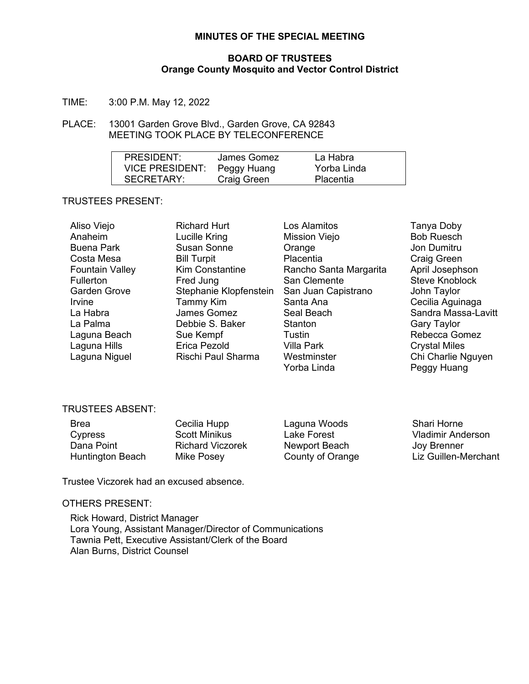### **MINUTES OF THE SPECIAL MEETING**

### **BOARD OF TRUSTEES Orange County Mosquito and Vector Control District**

TIME: 3:00 P.M. May 12, 2022

### PLACE: 13001 Garden Grove Blvd., Garden Grove, CA 92843 MEETING TOOK PLACE BY TELECONFERENCE

| PRESIDENT:                  | James Gomez | La Habra    |  |
|-----------------------------|-------------|-------------|--|
| VICE PRESIDENT: Peggy Huang |             | Yorba Linda |  |
| SECRETARY:                  | Craig Green | Placentia   |  |

# TRUSTEES PRESENT:

| Aliso Viejo       |
|-------------------|
| Anaheim           |
| <b>Buena Park</b> |
| Costa Mesa        |
| Fountain Valley   |
| Fullerton         |
| Garden Grove      |
| Irvine            |
| La Habra          |
| La Palma          |
| Laguna Beach      |
| Laguna Hills      |
| Laguna Niguel     |

Richard Hurt Lucille Kring Susan Sonne Bill Turpit Kim Constantine Fred Jung Stephanie Klopfenstein Tammy Kim James Gomez Debbie S. Baker Sue Kempf Erica Pezold Rischi Paul Sharma

Los Alamitos Mission Viejo **Orange Placentia** Rancho Santa Margarita San Clemente San Juan Capistrano Santa Ana Seal Beach Stanton **Tustin** Villa Park Westminster Yorba Linda

Tanya Doby Bob Ruesch Jon Dumitru Craig Green April Josephson Steve Knoblock John Taylor Cecilia Aguinaga Sandra Massa-Lavitt Gary Taylor Rebecca Gomez Crystal Miles Chi Charlie Nguyen Peggy Huang

# TRUSTEES ABSENT:

| <b>Brea</b>             | Cecilia Hupp            |
|-------------------------|-------------------------|
| Cypress                 | <b>Scott Minikus</b>    |
| Dana Point              | <b>Richard Viczorek</b> |
| <b>Huntington Beach</b> | Mike Posey              |

Laguna Woods Lake Forest Newport Beach County of Orange

Shari Horne Vladimir Anderson Joy Brenner Liz Guillen-Merchant

Trustee Viczorek had an excused absence.

#### OTHERS PRESENT:

Rick Howard, District Manager Lora Young, Assistant Manager/Director of Communications Tawnia Pett, Executive Assistant/Clerk of the Board Alan Burns, District Counsel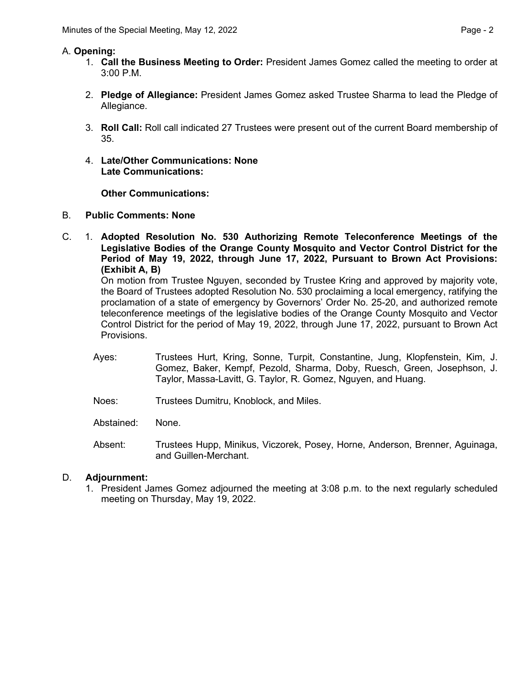## A. **Opening:**

- 1. **Call the Business Meeting to Order:** President James Gomez called the meeting to order at 3:00 P.M.
- 2. **Pledge of Allegiance:** President James Gomez asked Trustee Sharma to lead the Pledge of Allegiance.
- 3. **Roll Call:** Roll call indicated 27 Trustees were present out of the current Board membership of 35.
- 4. **Late/Other Communications: None Late Communications:**

**Other Communications:**

### B. **Public Comments: None**

C. 1. **Adopted Resolution No. 530 Authorizing Remote Teleconference Meetings of the Legislative Bodies of the Orange County Mosquito and Vector Control District for the Period of May 19, 2022, through June 17, 2022, Pursuant to Brown Act Provisions: (Exhibit A, B)**

On motion from Trustee Nguyen, seconded by Trustee Kring and approved by majority vote, the Board of Trustees adopted Resolution No. 530 proclaiming a local emergency, ratifying the proclamation of a state of emergency by Governors' Order No. 25-20, and authorized remote teleconference meetings of the legislative bodies of the Orange County Mosquito and Vector Control District for the period of May 19, 2022, through June 17, 2022, pursuant to Brown Act Provisions.

- Ayes: Trustees Hurt, Kring, Sonne, Turpit, Constantine, Jung, Klopfenstein, Kim, J. Gomez, Baker, Kempf, Pezold, Sharma, Doby, Ruesch, Green, Josephson, J. Taylor, Massa-Lavitt, G. Taylor, R. Gomez, Nguyen, and Huang.
- Noes: Trustees Dumitru, Knoblock, and Miles.

Abstained: None.

Absent: Trustees Hupp, Minikus, Viczorek, Posey, Horne, Anderson, Brenner, Aguinaga, and Guillen-Merchant.

# D. **Adjournment:**

1. President James Gomez adjourned the meeting at 3:08 p.m. to the next regularly scheduled meeting on Thursday, May 19, 2022.